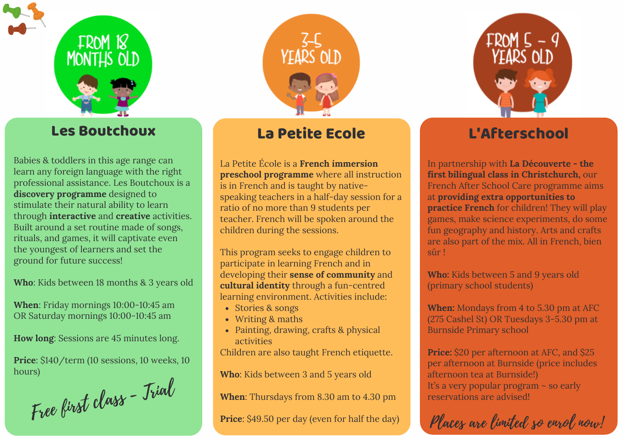



#### Les Boutchoux

Babies & toddlers in this age range can learn any foreign language with the right professional assistance. Les Boutchoux is a **discovery programme** designed to stimulate their natural ability to learn through **interactive** and **creative** activities. Built around a set routine made of songs, rituals, and games, it will captivate even the youngest of learners and set the ground for future success!

**Who**: Kids between 18 months & 3 years old

**When**: Friday mornings 10:00-10:45 am OR Saturday mornings 10:00-10:45 am

**How long**: Sessions are 45 minutes long.

**Price**: \$140/term (10 sessions, 10 weeks, 10 hours)

Free first class - Trial

#### La Petite Ecole

La Petite École is a **French immersion preschool programme** where all instruction is in French and is taught by nativespeaking teachers in a half-day session for a ratio of no more than 9 students per teacher. French will be spoken around the children during the sessions.

This program seeks to engage children to participate in learning French and in developing their **sense of community** and **cultural identity** through a fun-centred learning environment. Activities include:

- Stories & songs
- Writing & maths
- Painting, drawing, crafts & physical activities

Children are also taught French etiquette.

**Who**: Kids between 3 and 5 years old

**When**: Thursdays from 8.30 am to 4.30 pm

**Price**: \$49.50 per day (even for half the day)



### L'Afterschool

In partnership with **La [Découverte](https://www.facebook.com/FRENZCHCH/) - the first bilingual class in Christchurch,** our French After School Care programme aims at **providing extra opportunities to practice French** for children! They will play games, make science experiments, do some fun geography and history. Arts and crafts are also part of the mix. All in French, bien sûr !

**Who:** Kids between 5 and 9 years old (primary school students)

**When:** Mondays from 4 to 5.30 pm at AFC (275 Cashel St) OR Tuesdays 3-5.30 pm at Burnside Primary school

**Price:** \$20 per afternoon at AFC, and \$25 per afternoon at Burnside (price includes afternoon tea at Burnside!) It's a very popular program ~ so early reservations are advised!

Places are limited so enrol now!